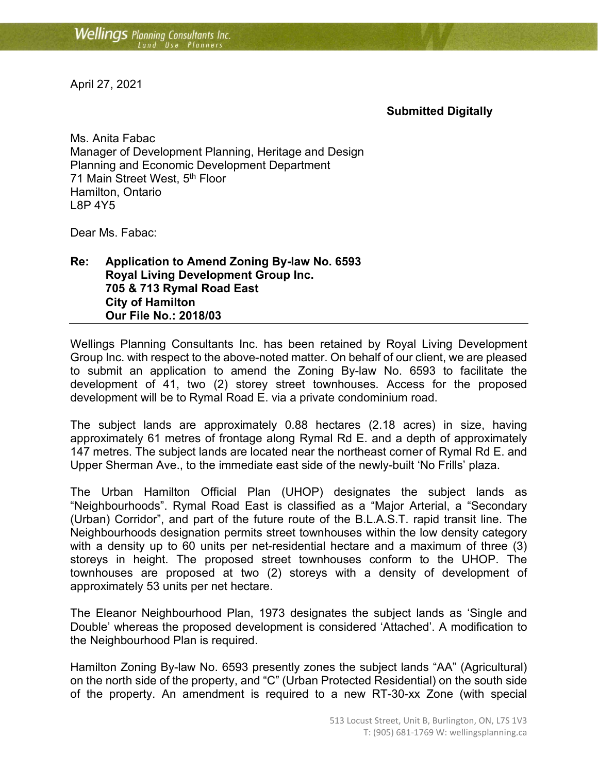April 27, 2021

## **Submitted Digitally**

Ms. Anita Fabac Manager of Development Planning, Heritage and Design Planning and Economic Development Department 71 Main Street West, 5<sup>th</sup> Floor Hamilton, Ontario L8P 4Y5

Dear Ms. Fabac:

**Re: Application to Amend Zoning By-law No. 6593 Royal Living Development Group Inc. 705 & 713 Rymal Road East City of Hamilton Our File No.: 2018/03**

Wellings Planning Consultants Inc. has been retained by Royal Living Development Group Inc. with respect to the above-noted matter. On behalf of our client, we are pleased to submit an application to amend the Zoning By-law No. 6593 to facilitate the development of 41, two (2) storey street townhouses. Access for the proposed development will be to Rymal Road E. via a private condominium road.

The subject lands are approximately 0.88 hectares (2.18 acres) in size, having approximately 61 metres of frontage along Rymal Rd E. and a depth of approximately 147 metres. The subject lands are located near the northeast corner of Rymal Rd E. and Upper Sherman Ave., to the immediate east side of the newly-built 'No Frills' plaza.

The Urban Hamilton Official Plan (UHOP) designates the subject lands as "Neighbourhoods". Rymal Road East is classified as a "Major Arterial, a "Secondary (Urban) Corridor", and part of the future route of the B.L.A.S.T. rapid transit line. The Neighbourhoods designation permits street townhouses within the low density category with a density up to 60 units per net-residential hectare and a maximum of three (3) storeys in height. The proposed street townhouses conform to the UHOP. The townhouses are proposed at two (2) storeys with a density of development of approximately 53 units per net hectare.

The Eleanor Neighbourhood Plan, 1973 designates the subject lands as 'Single and Double' whereas the proposed development is considered 'Attached'. A modification to the Neighbourhood Plan is required.

Hamilton Zoning By-law No. 6593 presently zones the subject lands "AA" (Agricultural) on the north side of the property, and "C" (Urban Protected Residential) on the south side of the property. An amendment is required to a new RT-30-xx Zone (with special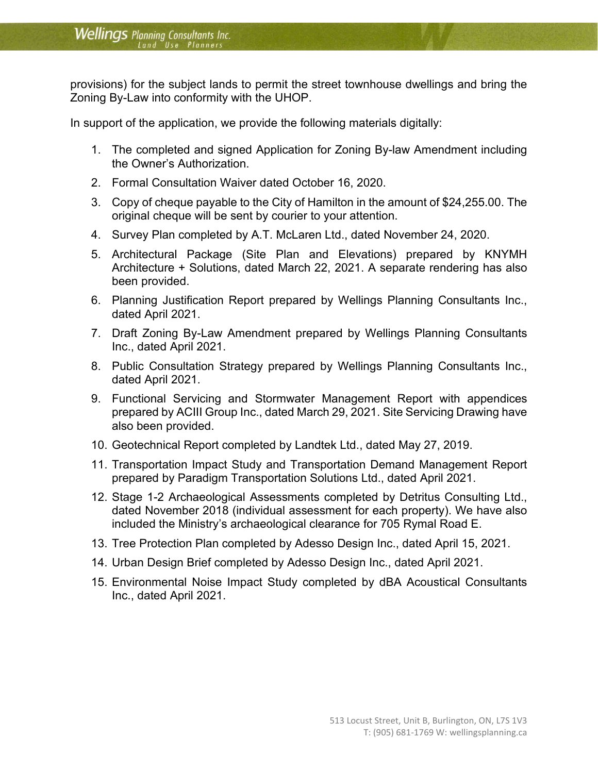provisions) for the subject lands to permit the street townhouse dwellings and bring the Zoning By-Law into conformity with the UHOP.

In support of the application, we provide the following materials digitally:

- 1. The completed and signed Application for Zoning By-law Amendment including the Owner's Authorization.
- 2. Formal Consultation Waiver dated October 16, 2020.
- 3. Copy of cheque payable to the City of Hamilton in the amount of \$24,255.00. The original cheque will be sent by courier to your attention.
- 4. Survey Plan completed by A.T. McLaren Ltd., dated November 24, 2020.
- 5. Architectural Package (Site Plan and Elevations) prepared by KNYMH Architecture + Solutions, dated March 22, 2021. A separate rendering has also been provided.
- 6. Planning Justification Report prepared by Wellings Planning Consultants Inc., dated April 2021.
- 7. Draft Zoning By-Law Amendment prepared by Wellings Planning Consultants Inc., dated April 2021.
- 8. Public Consultation Strategy prepared by Wellings Planning Consultants Inc., dated April 2021.
- 9. Functional Servicing and Stormwater Management Report with appendices prepared by ACIII Group Inc., dated March 29, 2021. Site Servicing Drawing have also been provided.
- 10. Geotechnical Report completed by Landtek Ltd., dated May 27, 2019.
- 11. Transportation Impact Study and Transportation Demand Management Report prepared by Paradigm Transportation Solutions Ltd., dated April 2021.
- 12. Stage 1-2 Archaeological Assessments completed by Detritus Consulting Ltd., dated November 2018 (individual assessment for each property). We have also included the Ministry's archaeological clearance for 705 Rymal Road E.
- 13. Tree Protection Plan completed by Adesso Design Inc., dated April 15, 2021.
- 14. Urban Design Brief completed by Adesso Design Inc., dated April 2021.
- 15. Environmental Noise Impact Study completed by dBA Acoustical Consultants Inc., dated April 2021.